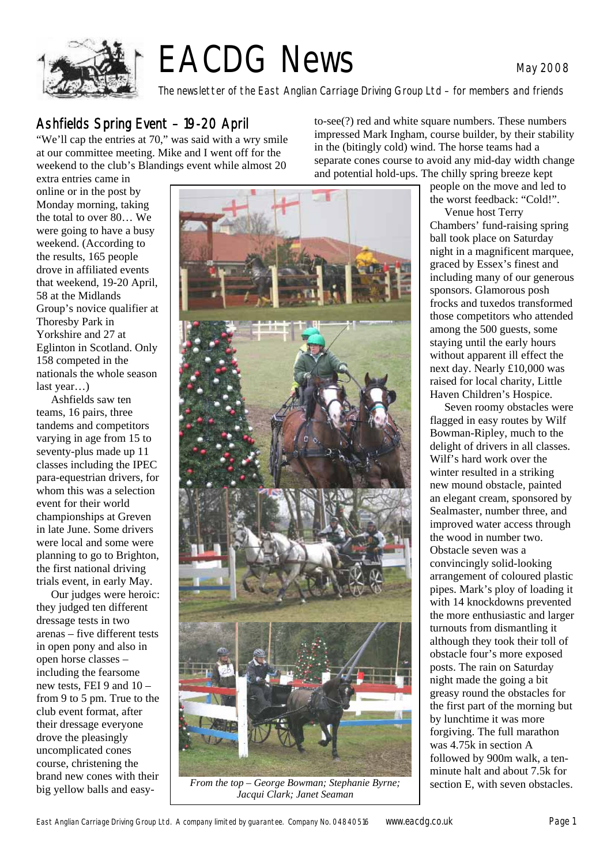

# EACDG News May 2008

The newsletter of the East Anglian Carriage Driving Group Ltd – for members and friends

#### Ashfields Spring Event – 19-20 April

"We'll cap the entries at 70," was said with a wry smile at our committee meeting. Mike and I went off for the weekend to the club's Blandings event while almost 20

extra entries came in online or in the post by Monday morning, taking the total to over 80… We were going to have a busy weekend. (According to the results, 165 people drove in affiliated events that weekend, 19-20 April, 58 at the Midlands Group's novice qualifier at Thoresby Park in Yorkshire and 27 at Eglinton in Scotland. Only 158 competed in the nationals the whole season last year…)

 Ashfields saw ten teams, 16 pairs, three tandems and competitors varying in age from 15 to seventy-plus made up 11 classes including the IPEC para-equestrian drivers, for whom this was a selection event for their world championships at Greven in late June. Some drivers were local and some were planning to go to Brighton, the first national driving trials event, in early May.

Our judges were heroic: they judged ten different dressage tests in two arenas – five different tests in open pony and also in open horse classes – including the fearsome new tests, FEI 9 and 10 – from 9 to 5 pm. True to the club event format, after their dressage everyone drove the pleasingly uncomplicated cones course, christening the brand new cones with their big yellow balls and easy-



*From the top – George Bowman; Stephanie Byrne;* | section E, with seven obstacles. *Jacqui Clark; Janet Seaman* 

to-see(?) red and white square numbers. These numbers impressed Mark Ingham, course builder, by their stability in the (bitingly cold) wind. The horse teams had a separate cones course to avoid any mid-day width change and potential hold-ups. The chilly spring breeze kept

people on the move and led to the worst feedback: "Cold!".

Venue host Terry Chambers' fund-raising spring ball took place on Saturday night in a magnificent marquee, graced by Essex's finest and including many of our generous sponsors. Glamorous posh frocks and tuxedos transformed those competitors who attended among the 500 guests, some staying until the early hours without apparent ill effect the next day. Nearly £10,000 was raised for local charity, Little Haven Children's Hospice.

Seven roomy obstacles were flagged in easy routes by Wilf Bowman-Ripley, much to the delight of drivers in all classes. Wilf's hard work over the winter resulted in a striking new mound obstacle, painted an elegant cream, sponsored by Sealmaster, number three, and improved water access through the wood in number two. Obstacle seven was a convincingly solid-looking arrangement of coloured plastic pipes. Mark's ploy of loading it with 14 knockdowns prevented the more enthusiastic and larger turnouts from dismantling it although they took their toll of obstacle four's more exposed posts. The rain on Saturday night made the going a bit greasy round the obstacles for the first part of the morning but by lunchtime it was more forgiving. The full marathon was 4.75k in section A followed by 900m walk, a tenminute halt and about 7.5k for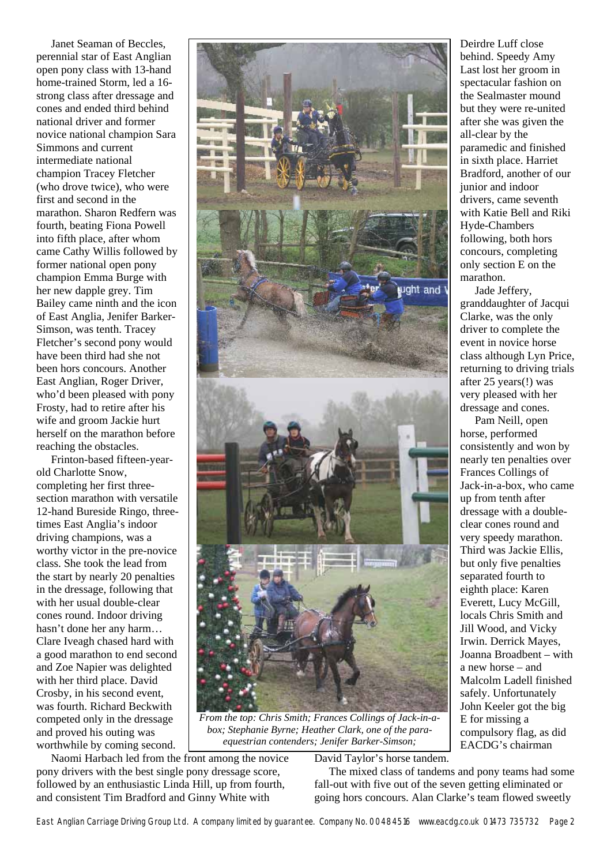Janet Seaman of Beccles, perennial star of East Anglian open pony class with 13-hand home-trained Storm, led a 16 strong class after dressage and cones and ended third behind national driver and former novice national champion Sara Simmons and current intermediate national champion Tracey Fletcher (who drove twice), who were first and second in the marathon. Sharon Redfern was fourth, beating Fiona Powell into fifth place, after whom came Cathy Willis followed by former national open pony champion Emma Burge with her new dapple grey. Tim Bailey came ninth and the icon of East Anglia, Jenifer Barker-Simson, was tenth. Tracey Fletcher's second pony would have been third had she not been hors concours. Another East Anglian, Roger Driver, who'd been pleased with pony Frosty, had to retire after his wife and groom Jackie hurt herself on the marathon before reaching the obstacles.

Frinton-based fifteen-yearold Charlotte Snow, completing her first threesection marathon with versatile 12-hand Bureside Ringo, threetimes East Anglia's indoor driving champions, was a worthy victor in the pre-novice class. She took the lead from the start by nearly 20 penalties in the dressage, following that with her usual double-clear cones round. Indoor driving hasn't done her any harm… Clare Iveagh chased hard with a good marathon to end second and Zoe Napier was delighted with her third place. David Crosby, in his second event, was fourth. Richard Beckwith competed only in the dressage and proved his outing was worthwhile by coming second.



*From the top: Chris Smith; Frances Collings of Jack-in-abox; Stephanie Byrne; Heather Clark, one of the paraequestrian contenders; Jenifer Barker-Simson;* 

Naomi Harbach led from the front among the novice pony drivers with the best single pony dressage score, followed by an enthusiastic Linda Hill, up from fourth, and consistent Tim Bradford and Ginny White with

David Taylor's horse tandem.

The mixed class of tandems and pony teams had some fall-out with five out of the seven getting eliminated or going hors concours. Alan Clarke's team flowed sweetly

Deirdre Luff close behind. Speedy Amy Last lost her groom in spectacular fashion on the Sealmaster mound but they were re-united after she was given the all-clear by the paramedic and finished in sixth place. Harriet Bradford, another of our junior and indoor drivers, came seventh with Katie Bell and Riki Hyde-Chambers following, both hors concours, completing only section E on the marathon.

Jade Jeffery, granddaughter of Jacqui Clarke, was the only driver to complete the event in novice horse class although Lyn Price, returning to driving trials after 25 years(!) was very pleased with her dressage and cones.

Pam Neill, open horse, performed consistently and won by nearly ten penalties over Frances Collings of Jack-in-a-box, who came up from tenth after dressage with a doubleclear cones round and very speedy marathon. Third was Jackie Ellis, but only five penalties separated fourth to eighth place: Karen Everett, Lucy McGill, locals Chris Smith and Jill Wood, and Vicky Irwin. Derrick Mayes, Joanna Broadbent – with a new horse – and Malcolm Ladell finished safely. Unfortunately John Keeler got the big E for missing a compulsory flag, as did EACDG's chairman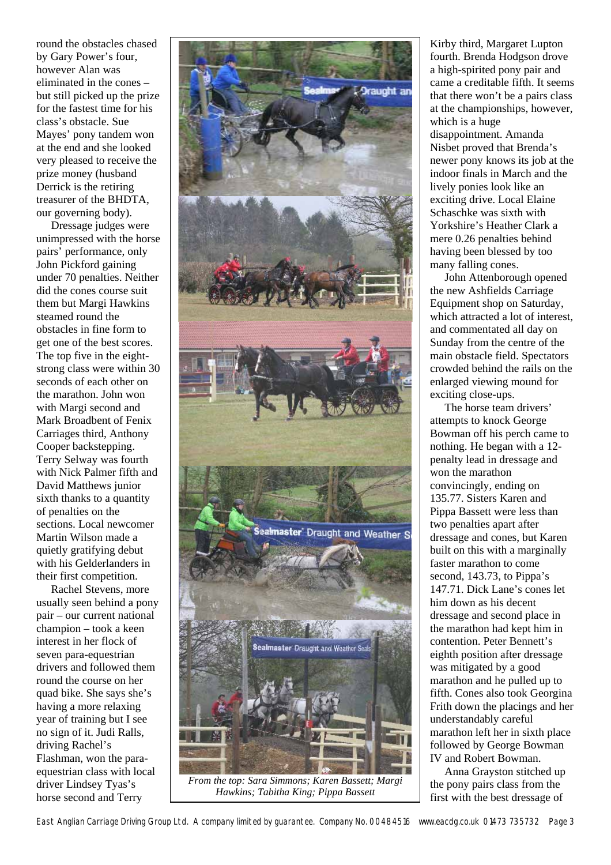round the obstacles chased by Gary Power's four, however Alan was eliminated in the cones – but still picked up the prize for the fastest time for his class's obstacle. Sue Mayes' pony tandem won at the end and she looked very pleased to receive the prize money (husband Derrick is the retiring treasurer of the BHDTA, our governing body).

Dressage judges were unimpressed with the horse pairs' performance, only John Pickford gaining under 70 penalties. Neither did the cones course suit them but Margi Hawkins steamed round the obstacles in fine form to get one of the best scores. The top five in the eightstrong class were within 30 seconds of each other on the marathon. John won with Margi second and Mark Broadbent of Fenix Carriages third, Anthony Cooper backstepping. Terry Selway was fourth with Nick Palmer fifth and David Matthews junior sixth thanks to a quantity of penalties on the sections. Local newcomer Martin Wilson made a quietly gratifying debut with his Gelderlanders in their first competition.

Rachel Stevens, more usually seen behind a pony pair – our current national champion – took a keen interest in her flock of seven para-equestrian drivers and followed them round the course on her quad bike. She says she's having a more relaxing year of training but I see no sign of it. Judi Ralls, driving Rachel's Flashman, won the paraequestrian class with local driver Lindsey Tyas's horse second and Terry



*From the top: Sara Simmons; Karen Bassett; Margi Hawkins; Tabitha King; Pippa Bassett* 

Kirby third, Margaret Lupton fourth. Brenda Hodgson drove a high-spirited pony pair and came a creditable fifth. It seems that there won't be a pairs class at the championships, however, which is a huge

disappointment. Amanda Nisbet proved that Brenda's newer pony knows its job at the indoor finals in March and the lively ponies look like an exciting drive. Local Elaine Schaschke was sixth with Yorkshire's Heather Clark a mere 0.26 penalties behind having been blessed by too many falling cones.

John Attenborough opened the new Ashfields Carriage Equipment shop on Saturday, which attracted a lot of interest, and commentated all day on Sunday from the centre of the main obstacle field. Spectators crowded behind the rails on the enlarged viewing mound for exciting close-ups.

The horse team drivers' attempts to knock George Bowman off his perch came to nothing. He began with a 12 penalty lead in dressage and won the marathon convincingly, ending on 135.77. Sisters Karen and Pippa Bassett were less than two penalties apart after dressage and cones, but Karen built on this with a marginally faster marathon to come second, 143.73, to Pippa's 147.71. Dick Lane's cones let him down as his decent dressage and second place in the marathon had kept him in contention. Peter Bennett's eighth position after dressage was mitigated by a good marathon and he pulled up to fifth. Cones also took Georgina Frith down the placings and her understandably careful marathon left her in sixth place followed by George Bowman IV and Robert Bowman.

Anna Grayston stitched up the pony pairs class from the first with the best dressage of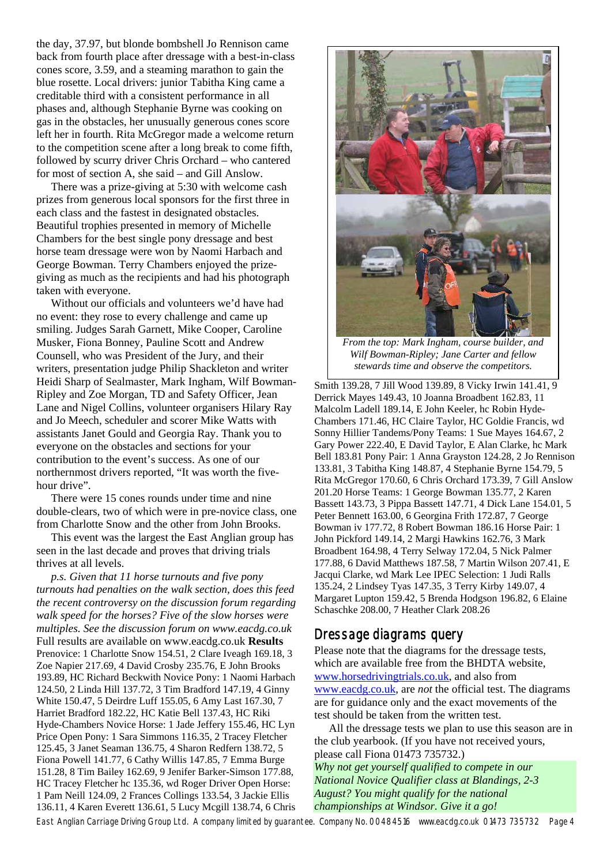the day, 37.97, but blonde bombshell Jo Rennison came back from fourth place after dressage with a best-in-class cones score, 3.59, and a steaming marathon to gain the blue rosette. Local drivers: junior Tabitha King came a creditable third with a consistent performance in all phases and, although Stephanie Byrne was cooking on gas in the obstacles, her unusually generous cones score left her in fourth. Rita McGregor made a welcome return to the competition scene after a long break to come fifth, followed by scurry driver Chris Orchard – who cantered for most of section A, she said – and Gill Anslow.

There was a prize-giving at 5:30 with welcome cash prizes from generous local sponsors for the first three in each class and the fastest in designated obstacles. Beautiful trophies presented in memory of Michelle Chambers for the best single pony dressage and best horse team dressage were won by Naomi Harbach and George Bowman. Terry Chambers enjoyed the prizegiving as much as the recipients and had his photograph taken with everyone.

Without our officials and volunteers we'd have had no event: they rose to every challenge and came up smiling. Judges Sarah Garnett, Mike Cooper, Caroline Musker, Fiona Bonney, Pauline Scott and Andrew Counsell, who was President of the Jury, and their writers, presentation judge Philip Shackleton and writer Heidi Sharp of Sealmaster, Mark Ingham, Wilf Bowman-Ripley and Zoe Morgan, TD and Safety Officer, Jean Lane and Nigel Collins, volunteer organisers Hilary Ray and Jo Meech, scheduler and scorer Mike Watts with assistants Janet Gould and Georgia Ray. Thank you to everyone on the obstacles and sections for your contribution to the event's success. As one of our northernmost drivers reported, "It was worth the fivehour drive".

There were 15 cones rounds under time and nine double-clears, two of which were in pre-novice class, one from Charlotte Snow and the other from John Brooks.

This event was the largest the East Anglian group has seen in the last decade and proves that driving trials thrives at all levels.

*p.s. Given that 11 horse turnouts and five pony turnouts had penalties on the walk section, does this feed the recent controversy on the discussion forum regarding walk speed for the horses? Five of the slow horses were multiples. See the discussion forum on www.eacdg.co.uk*  Full results are available on www.eacdg.co.uk **Results** Prenovice: 1 Charlotte Snow 154.51, 2 Clare Iveagh 169.18, 3 Zoe Napier 217.69, 4 David Crosby 235.76, E John Brooks 193.89, HC Richard Beckwith Novice Pony: 1 Naomi Harbach 124.50, 2 Linda Hill 137.72, 3 Tim Bradford 147.19, 4 Ginny White 150.47, 5 Deirdre Luff 155.05, 6 Amy Last 167.30, 7 Harriet Bradford 182.22, HC Katie Bell 137.43, HC Riki Hyde-Chambers Novice Horse: 1 Jade Jeffery 155.46, HC Lyn Price Open Pony: 1 Sara Simmons 116.35, 2 Tracey Fletcher 125.45, 3 Janet Seaman 136.75, 4 Sharon Redfern 138.72, 5 Fiona Powell 141.77, 6 Cathy Willis 147.85, 7 Emma Burge 151.28, 8 Tim Bailey 162.69, 9 Jenifer Barker-Simson 177.88, HC Tracey Fletcher hc 135.36, wd Roger Driver Open Horse: 1 Pam Neill 124.09, 2 Frances Collings 133.54, 3 Jackie Ellis 136.11, 4 Karen Everett 136.61, 5 Lucy Mcgill 138.74, 6 Chris



*From the top: Mark Ingham, course builder, and Wilf Bowman-Ripley; Jane Carter and fellow stewards time and observe the competitors.* 

Smith 139.28, 7 Jill Wood 139.89, 8 Vicky Irwin 141.41, 9 Derrick Mayes 149.43, 10 Joanna Broadbent 162.83, 11 Malcolm Ladell 189.14, E John Keeler, hc Robin Hyde-Chambers 171.46, HC Claire Taylor, HC Goldie Francis, wd Sonny Hillier Tandems/Pony Teams: 1 Sue Mayes 164.67, 2 Gary Power 222.40, E David Taylor, E Alan Clarke, hc Mark Bell 183.81 Pony Pair: 1 Anna Grayston 124.28, 2 Jo Rennison 133.81, 3 Tabitha King 148.87, 4 Stephanie Byrne 154.79, 5 Rita McGregor 170.60, 6 Chris Orchard 173.39, 7 Gill Anslow 201.20 Horse Teams: 1 George Bowman 135.77, 2 Karen Bassett 143.73, 3 Pippa Bassett 147.71, 4 Dick Lane 154.01, 5 Peter Bennett 163.00, 6 Georgina Frith 172.87, 7 George Bowman iv 177.72, 8 Robert Bowman 186.16 Horse Pair: 1 John Pickford 149.14, 2 Margi Hawkins 162.76, 3 Mark Broadbent 164.98, 4 Terry Selway 172.04, 5 Nick Palmer 177.88, 6 David Matthews 187.58, 7 Martin Wilson 207.41, E Jacqui Clarke, wd Mark Lee IPEC Selection: 1 Judi Ralls 135.24, 2 Lindsey Tyas 147.35, 3 Terry Kirby 149.07, 4 Margaret Lupton 159.42, 5 Brenda Hodgson 196.82, 6 Elaine Schaschke 208.00, 7 Heather Clark 208.26

#### Dressage diagrams query

Please note that the diagrams for the dressage tests, which are available free from the BHDTA website, [www.horsedrivingtrials.co.uk](http://www.horsedrivingtrials.co.uk/), and also from [www.eacdg.co.uk](http://www.eacdg.co.uk/), are *not* the official test. The diagrams are for guidance only and the exact movements of the test should be taken from the written test.

 All the dressage tests we plan to use this season are in the club yearbook. (If you have not received yours, please call Fiona 01473 735732.)

*Why not get yourself qualified to compete in our National Novice Qualifier class at Blandings, 2-3 August? You might qualify for the national championships at Windsor. Give it a go!* 

East Anglian Carriage Driving Group Ltd. A company limited by guarantee. Company No. 00484516 www.eacdg.co.uk 01473 735732 Page 4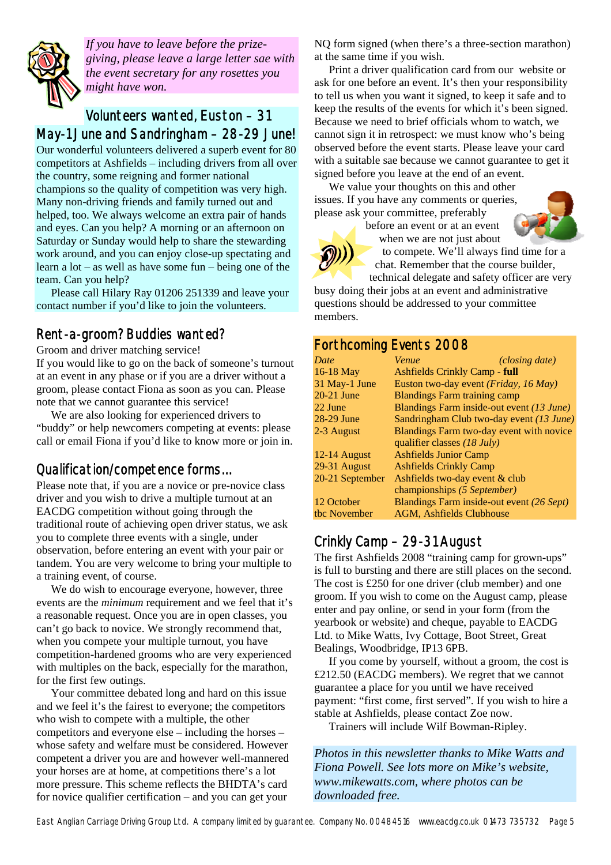

*If you have to leave before the prizegiving, please leave a large letter sae with the event secretary for any rosettes you might have won.* 

#### Volunteers wanted, Euston – 31 May-1 June and Sandringham – 28-29 June!

Our wonderful volunteers delivered a superb event for 80 competitors at Ashfields – including drivers from all over the country, some reigning and former national champions so the quality of competition was very high. Many non-driving friends and family turned out and helped, too. We always welcome an extra pair of hands and eyes. Can you help? A morning or an afternoon on Saturday or Sunday would help to share the stewarding work around, and you can enjoy close-up spectating and learn a lot – as well as have some fun – being one of the team. Can you help?

 Please call Hilary Ray 01206 251339 and leave your contact number if you'd like to join the volunteers.

## Rent-a-groom? Buddies wanted?

Groom and driver matching service!

If you would like to go on the back of someone's turnout at an event in any phase or if you are a driver without a groom, please contact Fiona as soon as you can. Please note that we cannot guarantee this service!

 We are also looking for experienced drivers to "buddy" or help newcomers competing at events: please call or email Fiona if you'd like to know more or join in.

## Qualification/competence forms…

Please note that, if you are a novice or pre-novice class driver and you wish to drive a multiple turnout at an EACDG competition without going through the traditional route of achieving open driver status, we ask you to complete three events with a single, under observation, before entering an event with your pair or tandem. You are very welcome to bring your multiple to a training event, of course.

 We do wish to encourage everyone, however, three events are the *minimum* requirement and we feel that it's a reasonable request. Once you are in open classes, you can't go back to novice. We strongly recommend that, when you compete your multiple turnout, you have competition-hardened grooms who are very experienced with multiples on the back, especially for the marathon, for the first few outings.

 Your committee debated long and hard on this issue and we feel it's the fairest to everyone; the competitors who wish to compete with a multiple, the other competitors and everyone else – including the horses – whose safety and welfare must be considered. However competent a driver you are and however well-mannered your horses are at home, at competitions there's a lot more pressure. This scheme reflects the BHDTA's card for novice qualifier certification – and you can get your

NQ form signed (when there's a three-section marathon) at the same time if you wish.

 Print a driver qualification card from our website or ask for one before an event. It's then your responsibility to tell us when you want it signed, to keep it safe and to keep the results of the events for which it's been signed. Because we need to brief officials whom to watch, we cannot sign it in retrospect: we must know who's being observed before the event starts. Please leave your card with a suitable sae because we cannot guarantee to get it signed before you leave at the end of an event.

 We value your thoughts on this and other issues. If you have any comments or queries, please ask your committee, preferably

before an event or at an event when we are not just about



to compete. We'll always find time for a chat. Remember that the course builder,

technical delegate and safety officer are very busy doing their jobs at an event and administrative questions should be addressed to your committee members.

#### Forthcoming Events 2008

| Date            | Venue                                     | (closing date) |
|-----------------|-------------------------------------------|----------------|
| $16-18$ May     | <b>Ashfields Crinkly Camp - full</b>      |                |
| 31 May-1 June   | Euston two-day event (Friday, 16 May)     |                |
| $20-21$ June    | <b>Blandings Farm training camp</b>       |                |
| 22 June         | Blandings Farm inside-out event (13 June) |                |
| 28-29 June      | Sandringham Club two-day event (13 June)  |                |
| 2-3 August      | Blandings Farm two-day event with novice  |                |
|                 | qualifier classes $(18 \text{ July})$     |                |
| $12-14$ August  | <b>Ashfields Junior Camp</b>              |                |
| 29-31 August    | <b>Ashfields Crinkly Camp</b>             |                |
| 20-21 September | Ashfields two-day event & club            |                |
|                 | championships (5 September)               |                |
| 12 October      | Blandings Farm inside-out event (26 Sept) |                |
| the November    | <b>AGM, Ashfields Clubhouse</b>           |                |
|                 |                                           |                |

## Crinkly Camp – 29-31 August

The first Ashfields 2008 "training camp for grown-ups" is full to bursting and there are still places on the second. The cost is £250 for one driver (club member) and one groom. If you wish to come on the August camp, please enter and pay online, or send in your form (from the yearbook or website) and cheque, payable to EACDG Ltd. to Mike Watts, Ivy Cottage, Boot Street, Great Bealings, Woodbridge, IP13 6PB.

 If you come by yourself, without a groom, the cost is £212.50 (EACDG members). We regret that we cannot guarantee a place for you until we have received payment: "first come, first served". If you wish to hire a stable at Ashfields, please contact Zoe now.

Trainers will include Wilf Bowman-Ripley.

*Photos in this newsletter thanks to Mike Watts and Fiona Powell. See lots more on Mike's website, [www.mikewatts.com](http://www.mikewatts.com/), where photos can be downloaded free.*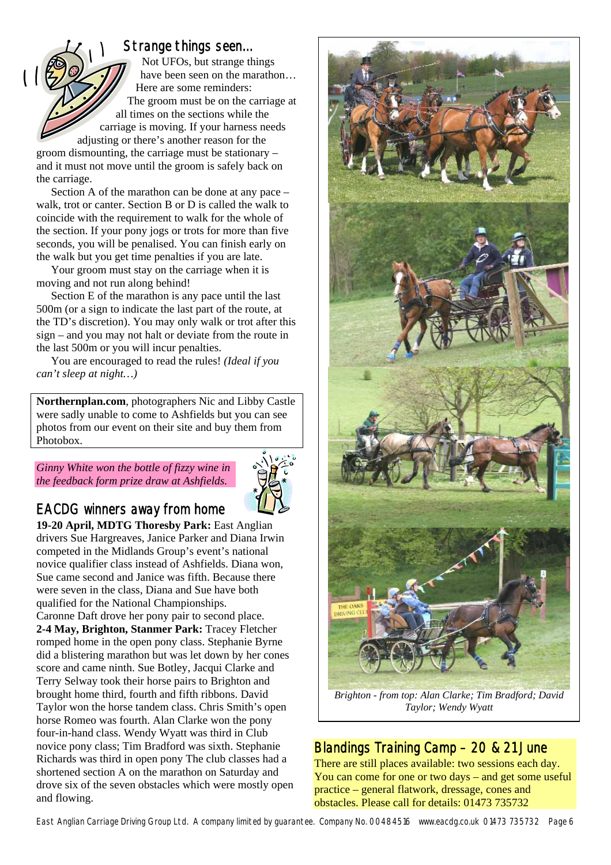#### Strange things seen…

Not UFOs, but strange things have been seen on the marathon... Here are some reminders: The groom must be on the carriage at all times on the sections while the carriage is moving. If your harness needs adjusting or there's another reason for the

groom dismounting, the carriage must be stationary – and it must not move until the groom is safely back on the carriage.

 Section A of the marathon can be done at any pace – walk, trot or canter. Section B or D is called the walk to coincide with the requirement to walk for the whole of the section. If your pony jogs or trots for more than five seconds, you will be penalised. You can finish early on the walk but you get time penalties if you are late.

 Your groom must stay on the carriage when it is moving and not run along behind!

 Section E of the marathon is any pace until the last 500m (or a sign to indicate the last part of the route, at the TD's discretion). You may only walk or trot after this sign – and you may not halt or deviate from the route in the last 500m or you will incur penalties.

 You are encouraged to read the rules! *(Ideal if you can't sleep at night…)* 

**Northernplan.com**, photographers Nic and Libby Castle were sadly unable to come to Ashfields but you can see photos from our event on their site and buy them from Photobox.

*Ginny White won the bottle of fizzy wine in the feedback form prize draw at Ashfields.* 



# EACDG winners away from home

**19-20 April, MDTG Thoresby Park:** East Anglian drivers Sue Hargreaves, Janice Parker and Diana Irwin competed in the Midlands Group's event's national novice qualifier class instead of Ashfields. Diana won, Sue came second and Janice was fifth. Because there were seven in the class, Diana and Sue have both qualified for the National Championships. Caronne Daft drove her pony pair to second place. **2-4 May, Brighton, Stanmer Park:** Tracey Fletcher romped home in the open pony class. Stephanie Byrne did a blistering marathon but was let down by her cones

score and came ninth. Sue Botley, Jacqui Clarke and Terry Selway took their horse pairs to Brighton and brought home third, fourth and fifth ribbons. David Taylor won the horse tandem class. Chris Smith's open horse Romeo was fourth. Alan Clarke won the pony four-in-hand class. Wendy Wyatt was third in Club novice pony class; Tim Bradford was sixth. Stephanie Richards was third in open pony The club classes had a shortened section A on the marathon on Saturday and drove six of the seven obstacles which were mostly open and flowing.



*Brighton - from top: Alan Clarke; Tim Bradford; David Taylor; Wendy Wyatt* 

## Blandings Training Camp – 20 & 21 June

There are still places available: two sessions each day. You can come for one or two days – and get some useful practice – general flatwork, dressage, cones and obstacles. Please call for details: 01473 735732